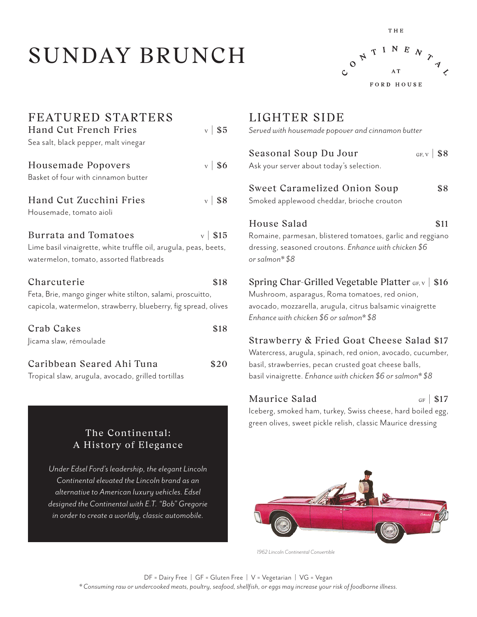# SUNDAY BRUNCH



THE

| FEATURED STARTERS                                                |                    |  |  |
|------------------------------------------------------------------|--------------------|--|--|
| Hand Cut French Fries                                            | $\rm v$   \$5      |  |  |
| Sea salt, black pepper, malt vinegar                             |                    |  |  |
| Housemade Popovers                                               | $\mathbf{v}$   \$6 |  |  |
| Basket of four with cinnamon butter                              |                    |  |  |
| Hand Cut Zucchini Fries                                          | $v$ \ \$8          |  |  |
| Housemade, tomato aioli                                          |                    |  |  |
| <b>Burrata and Tomatoes</b>                                      | $\rm v$   \$15     |  |  |
| Lime basil vinaigrette, white truffle oil, arugula, peas, beets, |                    |  |  |
| watermelon, tomato, assorted flatbreads                          |                    |  |  |
| Charcuterie                                                      | \$18               |  |  |
| Feta, Brie, mango ginger white stilton, salami, proscuitto,      |                    |  |  |
| capicola, watermelon, strawberry, blueberry, fig spread, olives  |                    |  |  |
| Crab Cakes                                                       | \$18               |  |  |
| Jicama slaw, rémoulade                                           |                    |  |  |
| Caribbean Seared Ahi Tuna                                        | \$20               |  |  |
| Tropical slaw, arugula, avocado, grilled tortillas               |                    |  |  |

## The Continental: A History of Elegance

*Under Edsel Ford's leadership, the elegant Lincoln Continental elevated the Lincoln brand as an alternative to American luxury vehicles. Edsel designed the Continental with E.T. "Bob" Gregorie in order to create a worldly, classic automobile.*

# LIGHTER SIDE

*Served with housemade popover and cinnamon butter*

| Seasonal Soup Du Jour<br>GF, $v$   \$8                                  |  |
|-------------------------------------------------------------------------|--|
| Ask your server about today's selection.                                |  |
| Sweet Caramelized Onion Soup<br>\$8                                     |  |
| Smoked applewood cheddar, brioche crouton                               |  |
| House Salad<br>\$11                                                     |  |
| Romaine, parmesan, blistered tomatoes, garlic and reggiano              |  |
| dressing, seasoned croutons. Enhance with chicken \$6<br>or salmon* \$8 |  |
| Spring Char-Grilled Vegetable Platter GF, v   \$16                      |  |
| Mushroom, asparagus, Roma tomatoes, red onion,                          |  |
| avocado, mozzarella, arugula, citrus balsamic vinaigrette               |  |
| Enhance with chicken \$6 or salmon* \$8                                 |  |
|                                                                         |  |

## Strawberry & Fried Goat Cheese Salad \$17

Watercress, arugula, spinach, red onion, avocado, cucumber, basil, strawberries, pecan crusted goat cheese balls, basil vinaigrette. *Enhance with chicken \$6 or salmon\* \$8*

## Maurice Salad  $_{GF}$  | \$17

Iceberg, smoked ham, turkey, Swiss cheese, hard boiled egg, green olives, sweet pickle relish, classic Maurice dressing



*1962 Lincoln Continental Convertible*